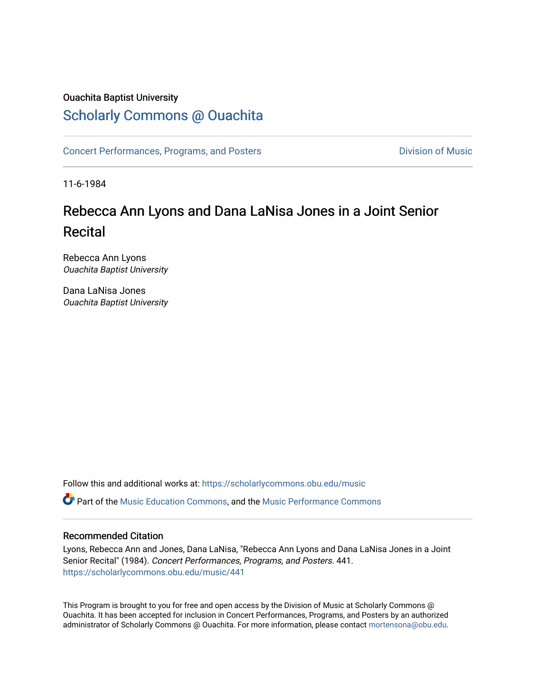# Ouachita Baptist University

# [Scholarly Commons @ Ouachita](https://scholarlycommons.obu.edu/)

[Concert Performances, Programs, and Posters](https://scholarlycommons.obu.edu/music) **Division of Music** Division of Music

11-6-1984

# Rebecca Ann Lyons and Dana LaNisa Jones in a Joint Senior Recital

Rebecca Ann Lyons Ouachita Baptist University

Dana LaNisa Jones Ouachita Baptist University

Follow this and additional works at: [https://scholarlycommons.obu.edu/music](https://scholarlycommons.obu.edu/music?utm_source=scholarlycommons.obu.edu%2Fmusic%2F441&utm_medium=PDF&utm_campaign=PDFCoverPages) 

Part of the [Music Education Commons,](http://network.bepress.com/hgg/discipline/1246?utm_source=scholarlycommons.obu.edu%2Fmusic%2F441&utm_medium=PDF&utm_campaign=PDFCoverPages) and the [Music Performance Commons](http://network.bepress.com/hgg/discipline/1128?utm_source=scholarlycommons.obu.edu%2Fmusic%2F441&utm_medium=PDF&utm_campaign=PDFCoverPages) 

## Recommended Citation

Lyons, Rebecca Ann and Jones, Dana LaNisa, "Rebecca Ann Lyons and Dana LaNisa Jones in a Joint Senior Recital" (1984). Concert Performances, Programs, and Posters. 441. [https://scholarlycommons.obu.edu/music/441](https://scholarlycommons.obu.edu/music/441?utm_source=scholarlycommons.obu.edu%2Fmusic%2F441&utm_medium=PDF&utm_campaign=PDFCoverPages) 

This Program is brought to you for free and open access by the Division of Music at Scholarly Commons @ Ouachita. It has been accepted for inclusion in Concert Performances, Programs, and Posters by an authorized administrator of Scholarly Commons @ Ouachita. For more information, please contact [mortensona@obu.edu](mailto:mortensona@obu.edu).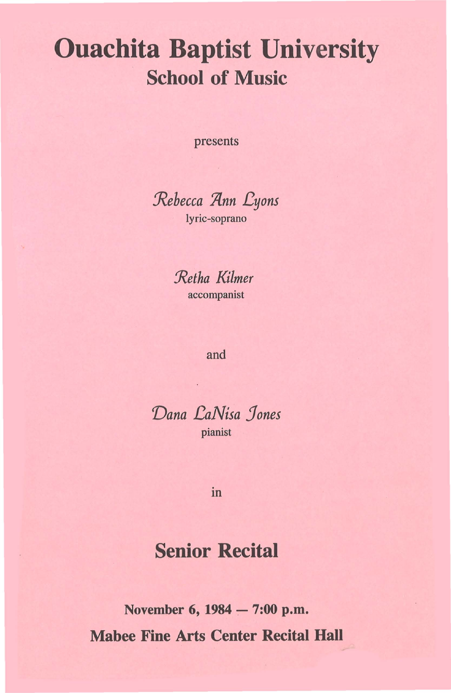# Ouachita Baptist University School of Music

presents

*Jtebecca jqnn l?yons*  lyric-soprano

*:Retha Kilmer*  accompanist

#### and

*Vana l?aNisa Jones*  pianist

m

# Senior Recital

November 6, 1984 - 7:00 p.m. Mabee Fine Arts Center Recital Hall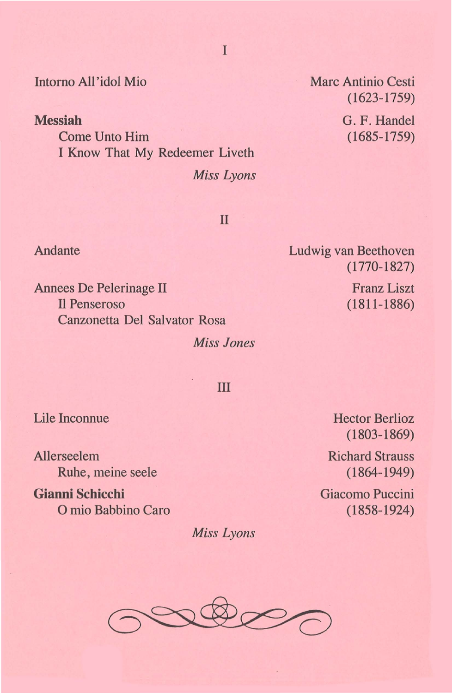I

## Intomo All 'idol Mio

**Messiah** 

Come Unto Him I Know That My Redeemer Liveth *Miss Lyons*  Marc Antinio Cesti (1623-1759)

G. F. Handel (1685-1759)

II

Ludwig van Beethoven ( 1770-1827)

> Franz Liszt (1811-1886)

Annees De Pelerinage II **Il Penseroso** Canzonetta Del Salvator Rosa

*Miss Jones* 

ill

Lile Inconnue

Allerseelem Ruhe, meine seele

**Gianni Schicchi**  0 mio Babbino Caro

*Miss Lyons* 

Hector Berlioz ( 1803-1869)

Richard Strauss ( 1864-1949)

Giacomo Puccini (1858-1924)



#### Andante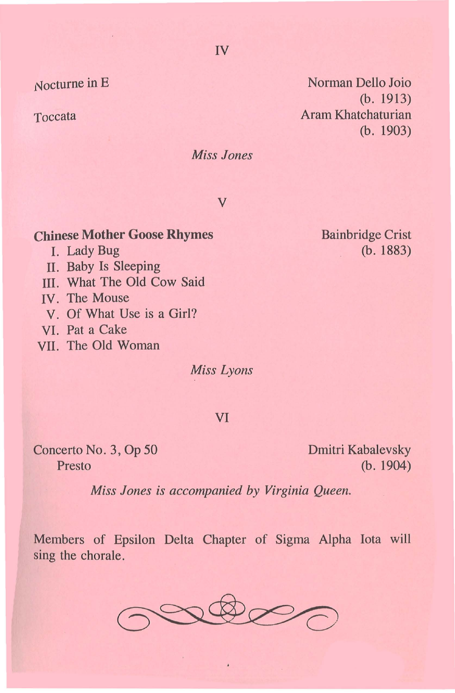Nocturne in E

×,

Toccata

Norman Delio Joio (b. 1913) Aram Khatchaturian (b. 1903)

*Miss Jones* 

v

## **Chinese Mother Goose Rhymes**

- I. Lady Bug
- II. Baby Is Sleeping
- III. What The Old Cow Said
- IV. The Mouse
- V. Of What Use is a Girl?
- VI. Pat a Cake
- VII. The Old Woman

*Miss Lyons* 

#### VI

Concerto No.3, Op 50 Presto

Dmitri Kabalevsky (b. 1904)

*Miss Jones is accompanied by Virginia Queen.* 

Members of Epsilon Delta Chapter of Sigma Alpha Iota will sing the chorale.



IV

Bainbridge Crist (b. 1883)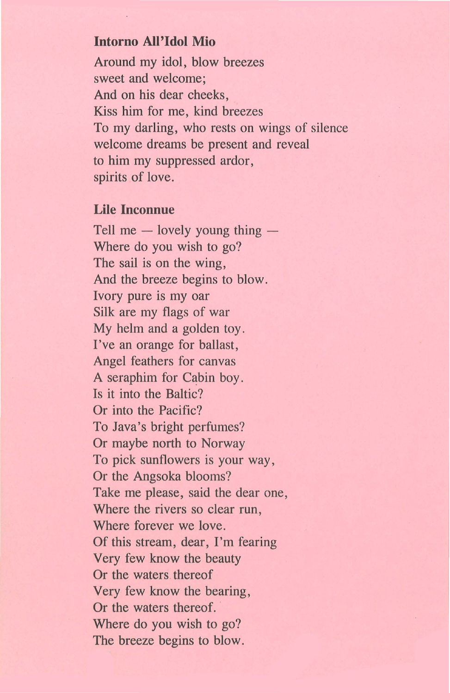## **Intorno All 'Idol Mio**

Around my idol, blow breezes sweet and welcome; And on his dear cheeks, Kiss him for me, kind breezes To my darling, who rests on wings of silence welcome dreams be present and reveal to him my suppressed ardor, spirits of love.

#### **Lile Inconnue**

Tell me  $-$  lovely young thing  $-$ Where do you wish to go? The sail is on the wing, And the breeze begins to blow. Ivory pure is my oar Silk are my flags of war My helm and a golden toy. I've an orange for ballast, Angel feathers for canvas A seraphim for Cabin boy. Is it into the Baltic? Or into the Pacific? To Java's bright perfumes? Or maybe north to Norway To pick sunflowers is your way, Or the Angsoka blooms? Take me please, said the dear one, Where the rivers so clear run, Where forever we love. Of this stream, dear, I'm fearing Very few know the beauty Or the waters. thereof Very few know the bearing, Or the waters thereof. Where do you wish to go? The breeze begins to blow.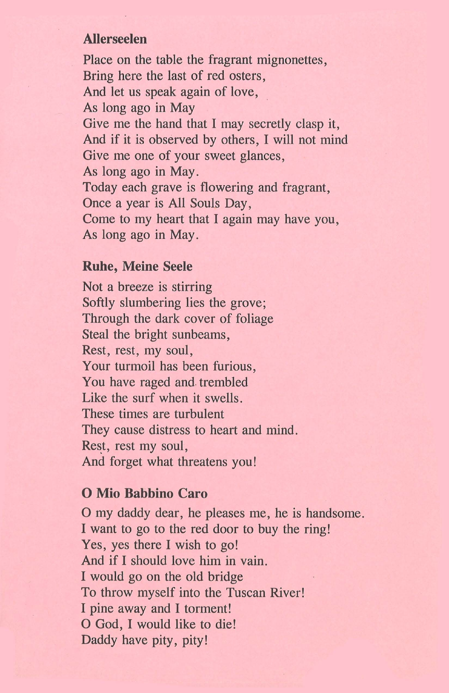#### **Allerseelen**

Place on the table the fragrant mignonettes, Bring here the last of red osters, And let us speak again of love, As long ago in May Give me the hand that I may secretly clasp it, And if it is observed by others, I will not mind Give me one of your sweet glances, As long ago in May. Today each grave is flowering and fragrant, Once a year is All Souls Day, Come to my heart that I again may have you, As long ago in May.

### **Rube, Meine Seele**

Not a breeze is stirring Softly slumbering lies the grove; Through the dark cover of foliage Steal the bright sunbeams, Rest, rest, my soul, Your turmoil has been furious, You have raged and trembled Like the surf when it swells. These times are turbulent They cause distress to heart and mind. Rest, rest my soul, And forget what threatens you!

#### **0 Mio Babbino Caro**

0 my daddy dear, he pleases me, he is handsome. I want to go to the red door to buy the ring! Yes, yes there I wish to go! And if I should love him in vain. I would go on the old bridge To throw myself into the Tuscan River! I pine away and I torment! 0 God, I would like to die! Daddy have pity, pity!